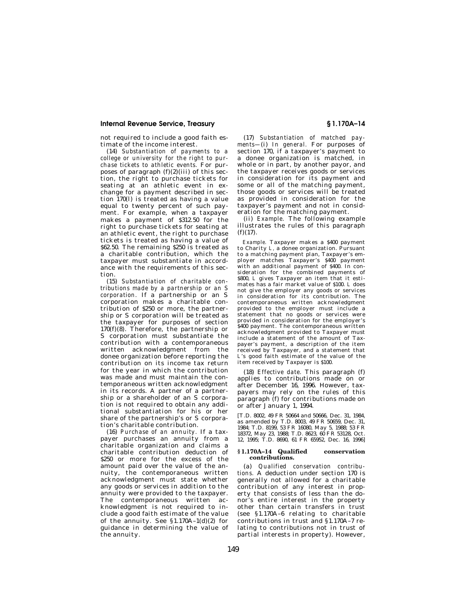not required to include a good faith estimate of the income interest.

(14) *Substantiation of payments to a college or university for the right to purchase tickets to athletic events.* For purposes of paragraph  $(f)(2)(iii)$  of this section, the right to purchase tickets for seating at an athletic event in exchange for a payment described in section 170(l) is treated as having a value equal to twenty percent of such payment. For example, when a taxpayer makes a payment of \$312.50 for the right to purchase tickets for seating at an athletic event, the right to purchase tickets is treated as having a value of \$62.50. The remaining \$250 is treated as a charitable contribution, which the taxpayer must substantiate in accordance with the requirements of this section.

(15) *Substantiation of charitable contributions made by a partnership or an S corporation.* If a partnership or an S corporation makes a charitable contribution of \$250 or more, the partnership or S corporation will be treated as the taxpayer for purposes of section 170(f)(8). Therefore, the partnership or S corporation must substantiate the contribution with a contemporaneous written acknowledgment from the donee organization before reporting the contribution on its income tax return for the year in which the contribution was made and must maintain the contemporaneous written acknowledgment in its records. A partner of a partnership or a shareholder of an S corporation is not required to obtain any additional substantiation for his or her share of the partnership's or S corporation's charitable contribution.

(16) *Purchase of an annuity.* If a taxpayer purchases an annuity from a charitable organization and claims a charitable contribution deduction of \$250 or more for the excess of the amount paid over the value of the annuity, the contemporaneous written acknowledgment must state whether any goods or services in addition to the annuity were provided to the taxpayer. The contemporaneous written acknowledgment is not required to include a good faith estimate of the value of the annuity. See §1.170A–1(d)(2) for guidance in determining the value of the annuity.

(17) *Substantiation of matched payments—*(i) *In general.* For purposes of section 170, if a taxpayer's payment to a donee organization is matched, in whole or in part, by another payor, and the taxpayer receives goods or services in consideration for its payment and some or all of the matching payment, those goods or services will be treated as provided in consideration for the taxpayer's payment and not in consideration for the matching payment.

(ii) *Example.* The following example illustrates the rules of this paragraph (f)(17).

*Example.* Taxpayer makes a \$400 payment to Charity *L,* a donee organization. Pursuant to a matching payment plan, Taxpayer's employer matches Taxpayer's \$400 payment with an additional payment of \$400. In con-sideration for the combined payments of \$800, *L* gives Taxpayer an item that it estimates has a fair market value of \$100. *L* does not give the employer any goods or services in consideration for its contribution. The contemporaneous written acknowledgment provided to the employer must include a statement that no goods or services were provided in consideration for the employer's \$400 payment. The contemporaneous written acknowledgment provided to Taxpayer must include a statement of the amount of Taxpayer's payment, a description of the item received by Taxpayer, and a statement that *L*'s good faith estimate of the value of the item received by Taxpayer is \$100.

(18) *Effective date.* This paragraph (f) applies to contributions made on or after December 16, 1996. However, taxpayers may rely on the rules of this paragraph (f) for contributions made on or after January 1, 1994.

[T.D. 8002, 49 FR 50664 and 50666, Dec. 31, 1984, as amended by T.D. 8003, 49 FR 50659, Dec. 31, 1984; T.D. 8199, 53 FR 16080, May 5, 1988; 53 FR 18372, May 23, 1988; T.D. 8623, 60 FR 53128, Oct. 12, 1995; T.D. 8690, 61 FR 65952, Dec. 16, 1996]

#### **§ 1.170A–14 Qualified conservation contributions.**

(a) *Qualified conservation contributions.* A deduction under section 170 is generally not allowed for a charitable contribution of any interest in property that consists of less than the donor's entire interest in the property other than certain transfers in trust (see §1.170A–6 relating to charitable contributions in trust and §1.170A–7 relating to contributions not in trust of partial interests in property). However,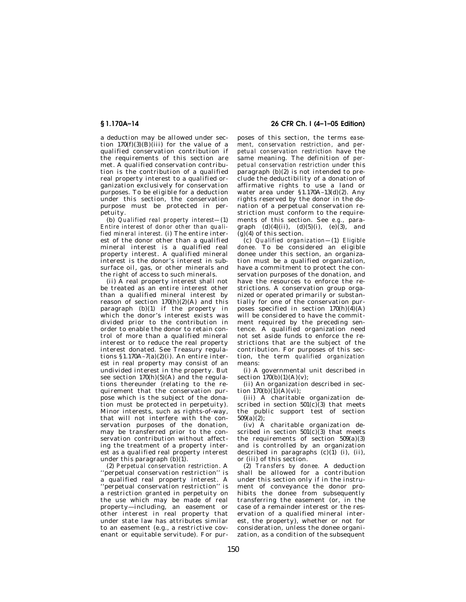a deduction may be allowed under section  $170(f)(3)(B)(iii)$  for the value of a qualified conservation contribution if the requirements of this section are met. A qualified conservation contribution is the contribution of a qualified real property interest to a qualified organization exclusively for conservation purposes. To be eligible for a deduction under this section, the conservation purpose must be protected in perpetuity.

(b) *Qualified real property interest—*(1) *Entire interest of donor other than qualified mineral interest.* (i) The entire interest of the donor other than a qualified mineral interest is a qualified real property interest. A qualified mineral interest is the donor's interest in subsurface oil, gas, or other minerals and the right of access to such minerals.

(ii) A real property interest shall not be treated as an entire interest other than a qualified mineral interest by reason of section  $170(h)(2)(A)$  and this paragraph (b)(1) if the property in which the donor's interest exists was divided prior to the contribution in order to enable the donor to retain control of more than a qualified mineral interest or to reduce the real property interest donated. See Treasury regulations  $$1.170A-7(a)(2)(i)$ . An entire interest in real property may consist of an undivided interest in the property. But see section  $170(h)(5)(A)$  and the regulations thereunder (relating to the requirement that the conservation purpose which is the subject of the donation must be protected in perpetuity). Minor interests, such as rights-of-way, that will not interfere with the conservation purposes of the donation, may be transferred prior to the conservation contribution without affecting the treatment of a property interest as a qualified real property interest under this paragraph  $(b)(1)$ .

(2) *Perpetual conservation restriction.* A ''perpetual conservation restriction'' is a qualified real property interest. A ''perpetual conservation restriction'' is a restriction granted in perpetuity on the use which may be made of real property—including, an easement or other interest in real property that under state law has attributes similar to an easement (e.g., a restrictive covenant or equitable servitude). For pur-

## **§ 1.170A–14 26 CFR Ch. I (4–1–05 Edition)**

poses of this section, the terms *easement, conservation restriction,* and *perpetual conservation restriction* have the same meaning. The definition of *perpetual conservation restriction* under this paragraph (b)(2) is not intended to preclude the deductibility of a donation of affirmative rights to use a land or water area under §1.170A–13(d)(2). Any rights reserved by the donor in the donation of a perpetual conservation restriction must conform to the requirements of this section. See *e.g.,* paragraph  $(d)(4)(ii)$ ,  $(d)(5)(i)$ ,  $(e)(3)$ , and  $(g)(4)$  of this section.

(c) *Qualified organization—*(1) *Eligible donee.* To be considered an eligible donee under this section, an organization must be a qualified organization, have a commitment to protect the conservation purposes of the donation, and have the resources to enforce the restrictions. A conservation group organized or operated primarily or substantially for one of the conservation purposes specified in section  $170(h)(4)(A)$ will be considered to have the commitment required by the preceding sentence. A qualified organization need not set aside funds to enforce the restrictions that are the subject of the contribution. For purposes of this section, the term *qualified organization*  means:

(i) A governmental unit described in section  $\overline{170(b)(1)(A)(v)}$ ;

(ii) An organization described in section  $170(b)(1)(A)(vi)$ ;

(iii) A charitable organization described in section  $501(c)(3)$  that meets the public support test of section  $509(a)(2)$ ;

(iv) A charitable organization described in section  $501(c)(3)$  that meets the requirements of section  $509(a)(3)$ and is controlled by an organization described in paragraphs  $(c)(1)$  (i), (ii), or (iii) of this section.

(2) *Transfers by donee.* A deduction shall be allowed for a contribution under this section only if in the instrument of conveyance the donor prohibits the donee from subsequently transferring the easement (or, in the case of a remainder interest or the reservation of a qualified mineral interest, the property), whether or not for consideration, unless the donee organization, as a condition of the subsequent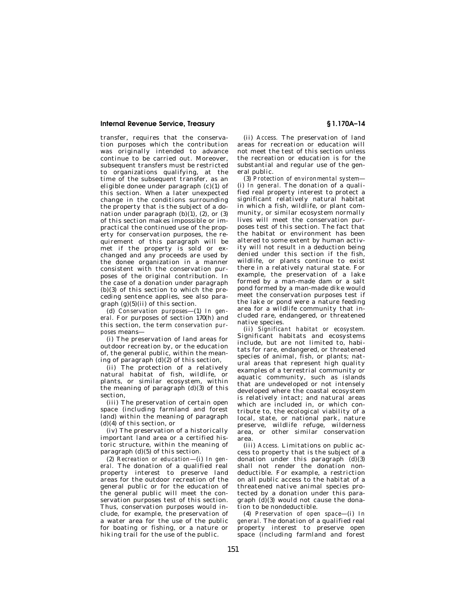transfer, requires that the conservation purposes which the contribution was originally intended to advance continue to be carried out. Moreover, subsequent transfers must be restricted to organizations qualifying, at the time of the subsequent transfer, as an eligible donee under paragraph (c)(1) of this section. When a later unexpected change in the conditions surrounding the property that is the subject of a donation under paragraph  $(b)(1)$ ,  $(2)$ , or  $(3)$ of this section makes impossible or impractical the continued use of the property for conservation purposes, the requirement of this paragraph will be met if the property is sold or exchanged and any proceeds are used by the donee organization in a manner consistent with the conservation purposes of the original contribution. In the case of a donation under paragraph (b)(3) of this section to which the preceding sentence applies, see also paragraph  $(g)(5)(ii)$  of this section.

(d) *Conservation purposes*—(1) *In general.* For purposes of section 170(h) and this section, the term *conservation purposes* means—

(i) The preservation of land areas for outdoor recreation by, or the education of, the general public, within the meaning of paragraph (d)(2) of this section,

(ii) The protection of a relatively natural habitat of fish, wildlife, or plants, or similar ecosystem, within the meaning of paragraph  $(d)(3)$  of this section,

(iii) The preservation of certain open space (including farmland and forest land) within the meaning of paragraph (d)(4) of this section, or

(iv) The preservation of a historically important land area or a certified historic structure, within the meaning of paragraph (d)(5) of this section.

(2) *Recreation or education*—(i) *In general.* The donation of a qualified real property interest to preserve land areas for the outdoor recreation of the general public or for the education of the general public will meet the conservation purposes test of this section. Thus, conservation purposes would include, for example, the preservation of a water area for the use of the public for boating or fishing, or a nature or hiking trail for the use of the public.

(ii) *Access.* The preservation of land areas for recreation or education will not meet the test of this section unless the recreation or education is for the substantial and regular use of the general public.

(3) *Protection of environmental system*— (i) *In general.* The donation of a qualified real property interest to protect a significant relatively natural habitat in which a fish, wildlife, or plant community, or similar ecosystem normally lives will meet the conservation purposes test of this section. The fact that the habitat or environment has been altered to some extent by human activity will not result in a deduction being denied under this section if the fish, wildlife, or plants continue to exist there in a relatively natural state. For example, the preservation of a lake formed by a man-made dam or a salt pond formed by a man-made dike would meet the conservation purposes test if the lake or pond were a nature feeding area for a wildlife community that included rare, endangered, or threatened native species.

(ii) *Significant habitat or ecosystem.*  Significant habitats and ecosystems include, but are not limited to, habitats for rare, endangered, or threatened species of animal, fish, or plants; natural areas that represent high quality examples of a terrestrial community or aquatic community, such as islands that are undeveloped or not intensely developed where the coastal ecosystem is relatively intact; and natural areas which are included in, or which contribute to, the ecological viability of a local, state, or national park, nature preserve, wildlife refuge, wilderness area, or other similar conservation area.

(iii) *Access.* Limitations on public access to property that is the subject of a donation under this paragraph  $(d)(3)$ shall not render the donation nondeductible. For example, a restriction on all public access to the habitat of a threatened native animal species protected by a donation under this paragraph  $(d)(3)$  would not cause the donation to be nondeductible.

(4) *Preservation of open space*—(i) *In general.* The donation of a qualified real property interest to preserve open space (including farmland and forest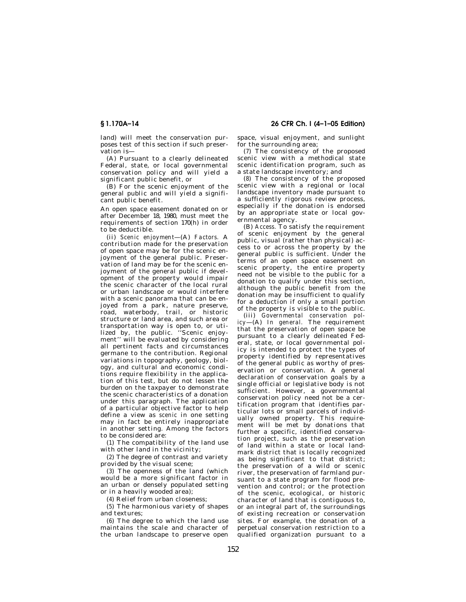land) will meet the conservation purposes test of this section if such preservation is—

(A) Pursuant to a clearly delineated Federal, state, or local governmental conservation policy and will yield a significant public benefit, or

(B) For the scenic enjoyment of the general public and will yield a significant public benefit.

An open space easement donated on or after December 18, 1980, must meet the requirements of section 170(h) in order to be deductible.

(ii) *Scenic enjoyment*—(A) *Factors.* A contribution made for the preservation of open space may be for the scenic enjoyment of the general public. Preservation of land may be for the scenic enjoyment of the general public if development of the property would impair the scenic character of the local rural or urban landscape or would interfere with a scenic panorama that can be enjoyed from a park, nature preserve, road, waterbody, trail, or historic structure or land area, and such area or transportation way is open to, or utilized by, the public. ''Scenic enjoyment'' will be evaluated by considering all pertinent facts and circumstances germane to the contribution. Regional variations in topography, geology, biology, and cultural and economic conditions require flexibility in the application of this test, but do not lessen the burden on the taxpayer to demonstrate the scenic characteristics of a donation under this paragraph. The application of a particular objective factor to help define a view as *scenic* in one setting may in fact be entirely inappropriate in another setting. Among the factors to be considered are:

(*1*) The compatibility of the land use with other land in the vicinity;

(*2*) The degree of contrast and variety provided by the visual scene;

(*3*) The openness of the land (which would be a more significant factor in an urban or densely populated setting or in a heavily wooded area);

(*4*) Relief from urban closeness;

(*5*) The harmonious variety of shapes and textures;

(*6*) The degree to which the land use maintains the scale and character of the urban landscape to preserve open

**§ 1.170A–14 26 CFR Ch. I (4–1–05 Edition)** 

space, visual enjoyment, and sunlight for the surrounding area;

(*7*) The consistency of the proposed scenic view with a methodical state scenic identification program, such as a state landscape inventory; and

(*8*) The consistency of the proposed scenic view with a regional or local landscape inventory made pursuant to a sufficiently rigorous review process, especially if the donation is endorsed by an appropriate state or local governmental agency.

(B) *Access.* To satisfy the requirement of scenic enjoyment by the general public, visual (rather than physical) access to or across the property by the general public is sufficient. Under the terms of an open space easement on scenic property, the entire property need not be visible to the public for a donation to qualify under this section, although the public benefit from the donation may be insufficient to qualify for a deduction if only a small portion of the property is visible to the public.

(iii) *Governmental conservation policy*—(A) *In general.* The requirement that the preservation of open space be pursuant to a clearly delineated Federal, state, or local governmental policy is intended to protect the types of property identified by representatives of the general public as worthy of preservation or conservation. A general declaration of conservation goals by a single official or legislative body is not sufficient. However, a governmental conservation policy need not be a certification program that identifies particular lots or small parcels of individually owned property. This requirement will be met by donations that further a specific, identified conservation project, such as the preservation of land within a state or local landmark district that is locally recognized as being significant to that district; the preservation of a wild or scenic river, the preservation of farmland pursuant to a state program for flood prevention and control; or the protection of the scenic, ecological, or historic character of land that is contiguous to, or an integral part of, the surroundings of existing recreation or conservation sites. For example, the donation of a perpetual conservation restriction to a qualified organization pursuant to a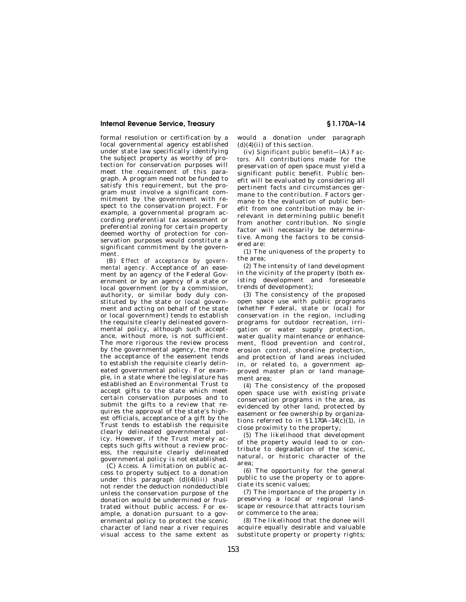formal resolution or certification by a local governmental agency established under state law specifically identifying the subject property as worthy of protection for conservation purposes will meet the requirement of this paragraph. A program need not be funded to satisfy this requirement, but the program must involve a significant commitment by the government with respect to the conservation project. For example, a governmental program according preferential tax assessment or preferential zoning for certain property deemed worthy of protection for conservation purposes would constitute a significant commitment by the government.

(B) *Effect of acceptance by governmental agency.* Acceptance of an easement by an agency of the Federal Government or by an agency of a state or local government (or by a commission, authority, or similar body duly constituted by the state or local government and acting on behalf of the state or local government) tends to establish the requisite clearly delineated governmental policy, although such acceptance, without more, is not sufficient. The more rigorous the review process by the governmental agency, the more the acceptance of the easement tends to establish the requisite clearly delineated governmental policy. For example, in a state where the legislature has established an Environmental Trust to accept gifts to the state which meet certain conservation purposes and to submit the gifts to a review that requires the approval of the state's highest officials, acceptance of a gift by the Trust tends to establish the requisite clearly delineated governmental policy. However, if the Trust merely accepts such gifts without a review process, the requisite clearly delineated governmental policy is not established.

(C) *Access.* A limitation on public access to property subject to a donation under this paragraph  $(d)(4)(iii)$  shall not render the deduction nondeductible unless the conservation purpose of the donation would be undermined or frustrated without public access. For example, a donation pursuant to a governmental policy to protect the scenic character of land near a river requires visual access to the same extent as would a donation under paragraph  $(d)(4)(ii)$  of this section.

(iv) *Significant public benefit—*(A) *Factors.* All contributions made for the preservation of open space must yield a significant public benefit. Public benefit will be evaluated by considering all pertinent facts and circumstances germane to the contribution. Factors germane to the evaluation of public benefit from one contribution may be irrelevant in determining public benefit from another contribution. No single factor will necessarily be determinative. Among the factors to be considered are:

(*1*) The uniqueness of the property to the area;

(*2*) The intensity of land development in the vicinity of the property (both existing development and foreseeable trends of development);

(*3*) The consistency of the proposed open space use with public programs (whether Federal, state or local) for conservation in the region, including programs for outdoor recreation, irrigation or water supply protection, water quality maintenance or enhancement, flood prevention and control, erosion control, shoreline protection, and protection of land areas included in, or related to, a government approved master plan or land management area;

(*4*) The consistency of the proposed open space use with existing private conservation programs in the area, as evidenced by other land, protected by easement or fee ownership by organizations referred to in  $$1.170A-14(c)(1)$ , in close proximity to the property;

(*5*) The likelihood that development of the property would lead to or contribute to degradation of the scenic, natural, or historic character of the area;

(*6*) The opportunity for the general public to use the property or to appreciate its scenic values;

(*7*) The importance of the property in preserving a local or regional landscape or resource that attracts tourism or commerce to the area;

(*8*) The likelihood that the donee will acquire equally desirable and valuable substitute property or property rights;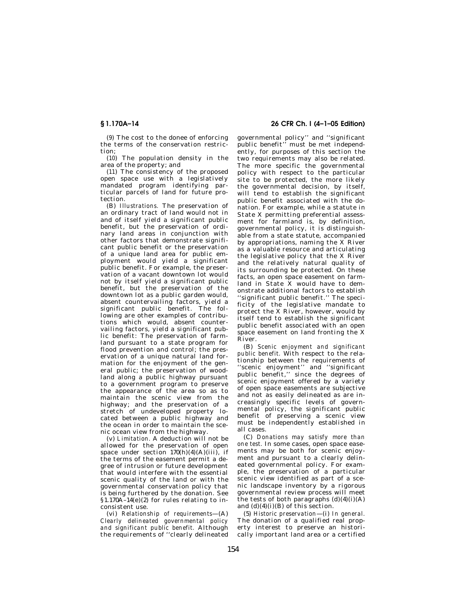(*9*) The cost to the donee of enforcing the terms of the conservation restriction;

(*10*) The population density in the area of the property; and

(*11*) The consistency of the proposed open space use with a legislatively mandated program identifying particular parcels of land for future protection.

(B) *Illustrations.* The preservation of an ordinary tract of land would not in and of itself yield a significant public benefit, but the preservation of ordinary land areas in conjunction with other factors that demonstrate significant public benefit or the preservation of a unique land area for public employment would yield a significant public benefit. For example, the preservation of a vacant downtown lot would not by itself yield a significant public benefit, but the preservation of the downtown lot as a public garden would, absent countervailing factors, yield a significant public benefit. The following are other examples of contributions which would, absent countervailing factors, yield a significant public benefit: The preservation of farmland pursuant to a state program for flood prevention and control; the preservation of a unique natural land formation for the enjoyment of the general public; the preservation of woodland along a public highway pursuant to a government program to preserve the appearance of the area so as to maintain the scenic view from the highway; and the preservation of a stretch of undeveloped property located between a public highway and the ocean in order to maintain the scenic ocean view from the highway.

(v) *Limitation.* A deduction will not be allowed for the preservation of open space under section  $170(h)(4)(A)(iii)$ , if the terms of the easement permit a degree of intrusion or future development that would interfere with the essential scenic quality of the land or with the governmental conservation policy that is being furthered by the donation. See §1.170A–14(e)(2) for rules relating to inconsistent use.

(vi) *Relationship of requirements*—(A) *Clearly delineated governmental policy and significant public benefit.* Although the requirements of ''clearly delineated

## **§ 1.170A–14 26 CFR Ch. I (4–1–05 Edition)**

governmental policy'' and ''significant public benefit'' must be met independently, for purposes of this section the two requirements may also be related. The more specific the governmental policy with respect to the particular site to be protected, the more likely the governmental decision, by itself, will tend to establish the significant public benefit associated with the donation. For example, while a statute in State X permitting preferential assessment for farmland is, by definition, governmental policy, it is distinguishable from a state statute, accompanied by appropriations, naming the  $\overline{X}$  River as a valuable resource and articulating the legislative policy that the X River and the relatively natural quality of its surrounding be protected. On these facts, an open space easement on farmland in State  $\dot{X}$  would have to demonstrate additional factors to establish 'significant public benefit." The specificity of the legislative mandate to protect the X River, however, would by itself tend to establish the significant public benefit associated with an open space easement on land fronting the X River.

(B) *Scenic enjoyment and significant public benefit.* With respect to the relationship between the requirements of ''scenic enjoyment'' and ''significant public benefit,'' since the degrees of scenic enjoyment offered by a variety of open space easements are subjective and not as easily delineated as are increasingly specific levels of governmental policy, the significant public benefit of preserving a scenic view must be independently established in all cases.

(C) *Donations may satisfy more than one test.* In some cases, open space easements may be both for scenic enjoyment and pursuant to a clearly delineated governmental policy. For example, the preservation of a particular scenic view identified as part of a scenic landscape inventory by a rigorous governmental review process will meet the tests of both paragraphs  $(d)(4)(i)(A)$ and  $(d)(4)(i)(B)$  of this section.

(5) *Historic preservation*—(i) *In general.*  The donation of a qualified real property interest to preserve an historically important land area or a certified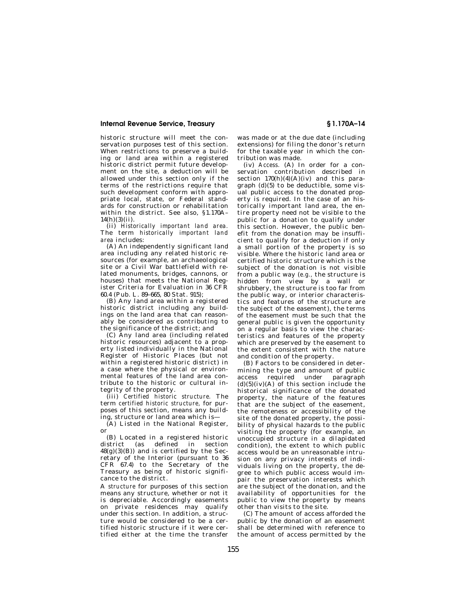historic structure will meet the conservation purposes test of this section. When restrictions to preserve a building or land area within a registered historic district permit future development on the site, a deduction will be allowed under this section only if the terms of the restrictions require that such development conform with appropriate local, state, or Federal standards for construction or rehabilitation within the district. See also, §1.170A–  $14(h)(3)(ii)$ .

(ii) *Historically important land area.*  The term *historically important land area* includes:

(A) An independently significant land area including any related historic resources (for example, an archaeological site or a Civil War battlefield with related monuments, bridges, cannons, or houses) that meets the National Register Criteria for Evaluation in 36 CFR 60.4 (Pub. L. 89–665, 80 Stat. 915);

(B) Any land area within a registered historic district including any buildings on the land area that can reasonably be considered as contributing to the significance of the district; and

(C) Any land area (including related historic resources) adjacent to a property listed individually in the National Register of Historic Places (but not within a registered historic district) in a case where the physical or environmental features of the land area contribute to the historic or cultural integrity of the property.

(iii) *Certified historic structure.* The term *certified historic structure,* for purposes of this section, means any building, structure or land area which is-

(A) Listed in the National Register, or

(B) Located in a registered historic district (as defined in section  $48(g)(3)(B)$  and is certified by the Secretary of the Interior (pursuant to 36 CFR 67.4) to the Secretary of the Treasury as being of historic significance to the district.

A *structure* for purposes of this section means any structure, whether or not it is depreciable. Accordingly easements on private residences may qualify under this section. In addition, a structure would be considered to be a certified historic structure if it were certified either at the time the transfer

was made or at the due date (including extensions) for filing the donor's return for the taxable year in which the contribution was made.

(iv) *Access.* (A) In order for a conservation contribution described in section  $170(h)(4)(A)(iv)$  and this paragraph (d)(5) to be deductible, some visual public access to the donated property is required. In the case of an historically important land area, the entire property need not be visible to the public for a donation to qualify under this section. However, the public benefit from the donation may be insufficient to qualify for a deduction if only a small portion of the property is so visible. Where the historic land area or certified historic structure which is the subject of the donation is not visible from a public way (*e.g.,* the structure is hidden from view by a wall or shrubbery, the structure is too far from the public way, or interior characteristics and features of the structure are the subject of the easement), the terms of the easement must be such that the general public is given the opportunity on a regular basis to view the characteristics and features of the property which are preserved by the easement to the extent consistent with the nature and condition of the property.

(B) Factors to be considered in determining the type and amount of public access required under paragraph  $(d)(5)(iv)(A)$  of this section include the historical significance of the donated property, the nature of the features that are the subject of the easement, the remoteness or accessibility of the site of the donated property, the possibility of physical hazards to the public visiting the property (for example, an unoccupied structure in a dilapidated condition), the extent to which public access would be an unreasonable intrusion on any privacy interests of individuals living on the property, the degree to which public access would impair the preservation interests which are the subject of the donation, and the availability of opportunities for the public to view the property by means other than visits to the site.

(C) The amount of access afforded the public by the donation of an easement shall be determined with reference to the amount of access permitted by the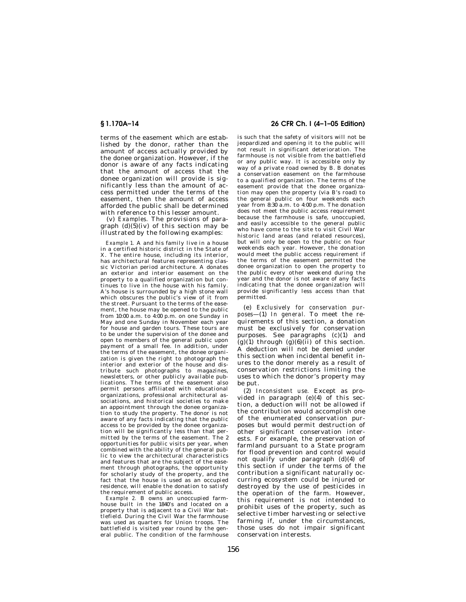terms of the easement which are established by the donor, rather than the amount of access actually provided by the donee organization. However, if the donor is aware of any facts indicating that the amount of access that the donee organization will provide is significantly less than the amount of access permitted under the terms of the easement, then the amount of access afforded the public shall be determined with reference to this lesser amount.

(v) *Examples.* The provisions of paragraph  $(d)(5)(iv)$  of this section may be illustrated by the following examples:

*Example 1.* A and his family live in a house in a certified historic district in the State of X. The entire house, including its interior, has architectural features representing classic Victorian period architecture. A donates an exterior and interior easement on the property to a qualified organization but continues to live in the house with his family. A's house is surrounded by a high stone wall which obscures the public's view of it from the street. Pursuant to the terms of the easement, the house may be opened to the public from 10:00 a.m. to 4:00 p.m. on one Sunday in May and one Sunday in November each year for house and garden tours. These tours are to be under the supervision of the donee and open to members of the general public upon payment of a small fee. In addition, under the terms of the easement, the donee organization is given the right to photograph the interior and exterior of the house and distribute such photographs to magazines, newsletters, or other publicly available publications. The terms of the easement also permit persons affiliated with educational organizations, professional architectural associations, and historical societies to make an appointment through the donee organization to study the property. The donor is not aware of any facts indicating that the public access to be provided by the donee organization will be significantly less than that permitted by the terms of the easement. The 2 opportunities for public visits per year, when combined with the ability of the general public to view the architectural characteristics and features that are the subject of the easement through photographs, the opportunity for scholarly study of the property, and the fact that the house is used as an occupied residence, will enable the donation to satisfy the requirement of public access.

*Example 2.* B owns an unoccupied farmhouse built in the 1840's and located on a property that is adjacent to a Civil War battlefield. During the Civil War the farmhouse was used as quarters for Union troops. The battlefield is visited year round by the general public. The condition of the farmhouse

## **§ 1.170A–14 26 CFR Ch. I (4–1–05 Edition)**

is such that the safety of visitors will not be jeopardized and opening it to the public will not result in significant deterioration. The farmhouse is not visible from the battlefield or any public way. It is accessible only by way of a private road owned by B. B donates a conservation easement on the farmhouse to a qualified organization. The terms of the easement provide that the donee organization may open the property (via B's road) to the general public on four weekends each year from 8:30 a.m. to 4:00 p.m. The donation does not meet the public access requirement because the farmhouse is safe, unoccupied, and easily accessible to the general public who have come to the site to visit Civil War historic land areas (and related resources). but will only be open to the public on four weekends each year. However, the donation would meet the public access requirement if the terms of the easement permitted the donee organization to open the property to the public every other weekend during the year and the donor is not aware of any facts indicating that the donee organization will provide significantly less access than that permitted.

(e) *Exclusively for conservation purposes*—(1) *In general.* To meet the requirements of this section, a donation must be exclusively for conservation purposes. See paragraphs (c)(1) and  $(g)(1)$  through  $(g)(6)(ii)$  of this section. A deduction will not be denied under this section when incidental benefit inures to the donor merely as a result of conservation restrictions limiting the uses to which the donor's property may be put.

(2) *Inconsistent use.* Except as provided in paragraph  $(e)(4)$  of this section, a deduction will not be allowed if the contribution would accomplish one of the enumerated conservation purposes but would permit destruction of other significant conservation interests. For example, the preservation of farmland pursuant to a State program for flood prevention and control would not qualify under paragraph (d)(4) of this section if under the terms of the contribution a significant naturally occurring ecosystem could be injured or destroyed by the use of pesticides in the operation of the farm. However, this requirement is not intended to prohibit uses of the property, such as selective timber harvesting or selective farming if, under the circumstances, those uses do not impair significant conservation interests.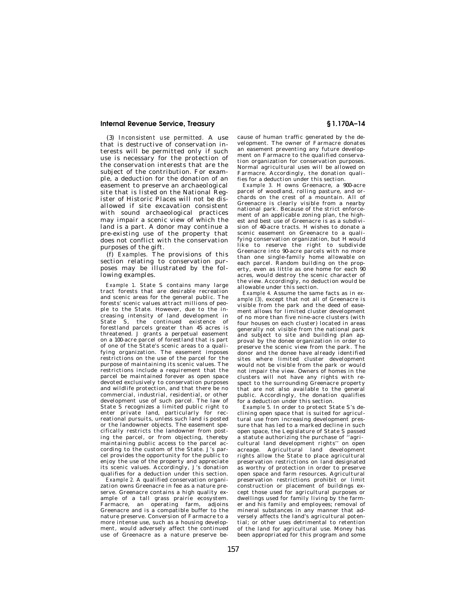(3) *Inconsistent use permitted.* A use that is destructive of conservation interests will be permitted only if such use is necessary for the protection of the conservation interests that are the subject of the contribution. For example, a deduction for the donation of an easement to preserve an archaeological site that is listed on the National Register of Historic Places will not be disallowed if site excavation consistent with sound archaeological practices may impair a scenic view of which the land is a part. A donor may continue a pre-existing use of the property that does not conflict with the conservation purposes of the gift.

(f) *Examples.* The provisions of this section relating to conservation purposes may be illustrated by the following examples.

*Example 1.* State S contains many large tract forests that are desirable recreation and scenic areas for the general public. The forests' scenic values attract millions of people to the State. However, due to the increasing intensity of land development in State S, the continued existence of forestland parcels greater than 45 acres is threatened. J grants a perpetual easement on a 100-acre parcel of forestland that is part of one of the State's scenic areas to a qualifying organization. The easement imposes restrictions on the use of the parcel for the purpose of maintaining its scenic values. The restrictions include a requirement that the parcel be maintained forever as open space devoted exclusively to conservation purposes and wildlife protection, and that there be no commercial, industrial, residential, or other development use of such parcel. The law of State S recognizes a limited public right to enter private land, particularly for recreational pursuits, unless such land is posted or the landowner objects. The easement specifically restricts the landowner from posting the parcel, or from objecting, thereby maintaining public access to the parcel according to the custom of the State. J's parcel provides the opportunity for the public to enjoy the use of the property and appreciate its scenic values. Accordingly, J's donation qualifies for a deduction under this section.

*Example 2.* A qualified conservation organization owns Greenacre in fee as a nature preserve. Greenacre contains a high quality example of a tall grass prairie ecosystem. Farmacre, an operating farm, adjoins Greenacre and is a compatible buffer to the nature preserve. Conversion of Farmacre to a more intense use, such as a housing development, would adversely affect the continued use of Greenacre as a nature preserve because of human traffic generated by the development. The owner of Farmacre donates an easement preventing any future development on Farmacre to the qualified conservation organization for conservation purposes. Normal agricultural uses will be allowed on Farmacre. Accordingly, the donation qualifies for a deduction under this section.

*Example 3.* H owns Greenacre, a 900-acre parcel of woodland, rolling pasture, and orchards on the crest of a mountain. All of Greenacre is clearly visible from a nearby national park. Because of the strict enforcement of an applicable zoning plan, the highest and best use of Greenacre is as a subdivision of 40-acre tracts. H wishes to donate a scenic easement on Greenacre to a qualifying conservation organization, but H would like to reserve the right to subdivide Greenacre into 90-acre parcels with no more than one single-family home allowable on each parcel. Random building on the property, even as little as one home for each 90 acres, would destroy the scenic character of the view. Accordingly, no deduction would be allowable under this section.

*Example 4.* Assume the same facts as in *example (3)*, except that not all of Greenacre is visible from the park and the deed of easement allows for limited cluster development of no more than five nine-acre clusters (with four houses on each cluster) located in areas generally not visible from the national park and subject to site and building plan approval by the donee organization in order to preserve the scenic view from the park. The donor and the donee have already identified sites where limited cluster development would not be visible from the park or would not impair the view. Owners of homes in the clusters will not have any rights with respect to the surrounding Greenacre property that are not also available to the general public. Accordingly, the donation qualifies for a deduction under this section.

*Example 5.* In order to protect State S's declining open space that is suited for agricultural use from increasing development pressure that has led to a marked decline in such open space, the Legislature of State S passed a statute authorizing the purchase of ''agricultural land development rights'' on open acreage. Agricultural land development rights allow the State to place agricultural preservation restrictions on land designated as worthy of protection in order to preserve open space and farm resources. Agricultural preservation restrictions prohibit or limit construction or placement of buildings except those used for agricultural purposes or dwellings used for family living by the farmer and his family and employees; removal of mineral substances in any manner that adversely affects the land's agricultural potential; or other uses detrimental to retention of the land for agricultural use. Money has been appropriated for this program and some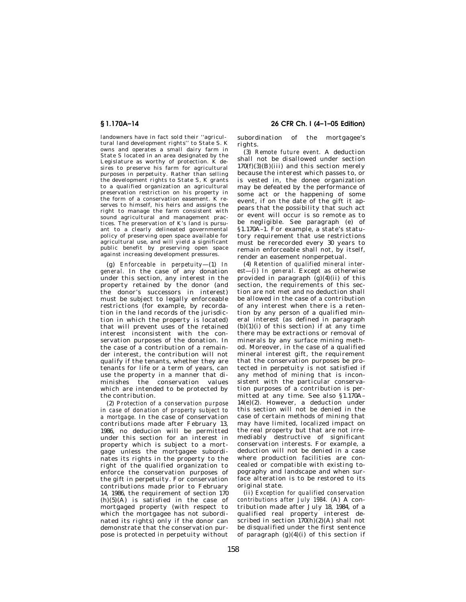landowners have in fact sold their ''agricultural land development rights'' to State S. K owns and operates a small dairy farm in State S located in an area designated by the Legislature as worthy of protection. K desires to preserve his farm for agricultural purposes in perpetuity. Rather than selling the development rights to State S, K grants to a qualified organization an agricultural preservation restriction on his property in the form of a conservation easement. K reserves to himself, his heirs and assigns the right to manage the farm consistent with sound agricultural and management practices. The preservation of K's land is pursuant to a clearly delineated governmental policy of preserving open space available for agricultural use, and will yield a significant public benefit by preserving open space against increasing development pressures.

(g) *Enforceable in perpetuity*—(1) *In general.* In the case of any donation under this section, any interest in the property retained by the donor (and the donor's successors in interest) must be subject to legally enforceable restrictions (for example, by recordation in the land records of the jurisdiction in which the property is located) that will prevent uses of the retained interest inconsistent with the conservation purposes of the donation. In the case of a contribution of a remainder interest, the contribution will not qualify if the tenants, whether they are tenants for life or a term of years, can use the property in a manner that diminishes the conservation values which are intended to be protected by the contribution.

(2) *Protection of a conservation purpose in case of donation of property subject to a mortgage.* In the case of conservation contributions made after February 13, 1986, no deducion will be permitted under this section for an interest in property which is subject to a mortgage unless the mortgagee subordinates its rights in the property to the right of the qualified organization to enforce the conservation purposes of the gift in perpetuity. For conservation contributions made prior to February 14, 1986, the requirement of section 170 (h)(5)(A) is satisfied in the case of mortgaged property (with respect to which the mortgagee has not subordinated its rights) only if the donor can demonstrate that the conservation purpose is protected in perpetuity without

## **§ 1.170A–14 26 CFR Ch. I (4–1–05 Edition)**

subordination of the mortgagee's rights.

(3) *Remote future event.* A deduction shall not be disallowed under section  $170(f)(3)(B)(iii)$  and this section merely because the interest which passes to, or is vested in, the donee organization may be defeated by the performance of some act or the happening of some event, if on the date of the gift it appears that the possibility that such act or event will occur is so remote as to be negligible. See paragraph (e) of §1.170A–1. For example, a state's statutory requirement that use restrictions must be rerecorded every 30 years to remain enforceable shall not, by itself, render an easement nonperpetual.

(4) *Retention of qualified mineral interest*—(i) *In general.* Except as otherwise provided in paragraph  $(g)(4)(ii)$  of this section, the requirements of this section are not met and no deduction shall be allowed in the case of a contribution of any interest when there is a retention by any person of a qualified mineral interest (as defined in paragraph  $(b)(1)(i)$  of this section) if at any time there may be extractions or removal of minerals by any surface mining method. Moreover, in the case of a qualified mineral interest gift, the requirement that the conservation purposes be protected in perpetuity is not satisfied if any method of mining that is inconsistent with the particular conservation purposes of a contribution is permitted at any time. See also §1.170A– 14(e)(2). However, a deduction under this section will not be denied in the case of certain methods of mining that may have limited, localized impact on the real property but that are not irremediably destructive of significant conservation interests. For example, a deduction will not be denied in a case where production facilities are concealed or compatible with existing topography and landscape and when surface alteration is to be restored to its original state.

(ii) *Exception for qualified conservation contributions after July 1984.* (A) A contribution made after July 18, 1984, of a qualified real property interest described in section 170(h)(2)(A) shall not be disqualified under the first sentence of paragraph  $(g)(4)(i)$  of this section if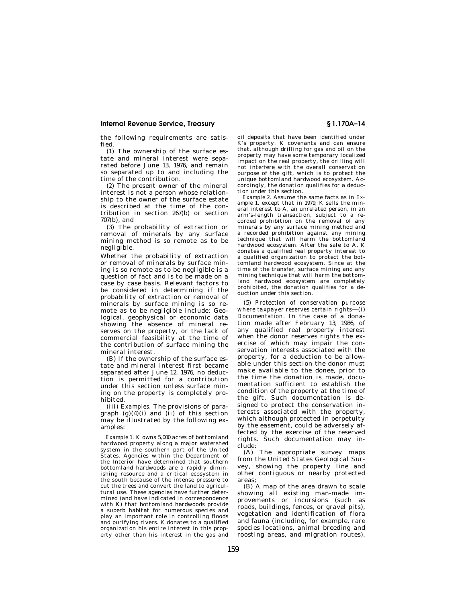the following requirements are satisfied.

(*1*) The ownership of the surface estate and mineral interest were separated before June 13, 1976, and remain so separated up to and including the time of the contribution.

(*2*) The present owner of the mineral interest is not a person whose relationship to the owner of the surface estate is described at the time of the contribution in section 267(b) or section 707(b), and

(*3*) The probability of extraction or removal of minerals by any surface mining method is so remote as to be negligible.

Whether the probability of extraction or removal of minerals by surface mining is so remote as to be negligible is a question of fact and is to be made on a case by case basis. Relevant factors to be considered in determining if the probability of extraction or removal of minerals by surface mining is so remote as to be negligible include: Geological, geophysical or economic data showing the absence of mineral reserves on the property, or the lack of commercial feasibility at the time of the contribution of surface mining the mineral interest.

(B) If the ownership of the surface estate and mineral interest first became separated after June 12, 1976, no deduction is permitted for a contribution under this section unless surface mining on the property is completely prohibited.

(iii) *Examples.* The provisions of paragraph  $(g)(4)(i)$  and  $(ii)$  of this section may be illustrated by the following examples:

*Example 1.* K owns 5,000 acres of bottomland hardwood property along a major watershed system in the southern part of the United States. Agencies within the Department of the Interior have determined that southern bottomland hardwoods are a rapidly diminishing resource and a critical ecosystem in the south because of the intense pressure to cut the trees and convert the land to agricultural use. These agencies have further determined (and have indicated in correspondence with K) that bottomland hardwoods provide a superb habitat for numerous species and play an important role in controlling floods and purifying rivers. K donates to a qualified organization his entire interest in this property other than his interest in the gas and

oil deposits that have been identified under K's property. K covenants and can ensure that, although drilling for gas and oil on the property may have some temporary localized impact on the real property, the drilling will not interfere with the overall conservation purpose of the gift, which is to protect the unique bottomland hardwood ecosystem. Accordingly, the donation qualifies for a deduction under this section.

*Example 2.* Assume the same facts as in *Example 1,* except that in 1979, K sells the mineral interest to A, an unrelated person, in an arm's-length transaction, subject to a recorded prohibition on the removal of any minerals by any surface mining method and a recorded prohibition against any mining technique that will harm the bottomland hardwood ecosystem. After the sale to A, K donates a qualified real property interest to a qualified organization to protect the bottomland hardwood ecosystem. Since at the time of the transfer, surface mining and any mining technique that will harm the bottomland hardwood ecosystem are completely prohibited, the donation qualifies for a deduction under this section.

(5) *Protection of conservation purpose where taxpayer reserves certain rights*—(i) *Documentation.* In the case of a donation made after February 13, 1986, of any qualified real property interest when the donor reserves rights the exercise of which may impair the conservation interests associated with the property, for a deduction to be allowable under this section the donor must make available to the donee, prior to the time the donation is made, documentation sufficient to establish the condition of the property at the time of the gift. Such documentation is designed to protect the conservation interests associated with the property, which although protected in perpetuity by the easement, could be adversely affected by the exercise of the reserved rights. Such documentation may include:

(A) The appropriate survey maps from the United States Geological Survey, showing the property line and other contiguous or nearby protected areas;

(B) A map of the area drawn to scale showing all existing man-made improvements or incursions (such as roads, buildings, fences, or gravel pits), vegetation and identification of flora and fauna (including, for example, rare species locations, animal breeding and roosting areas, and migration routes),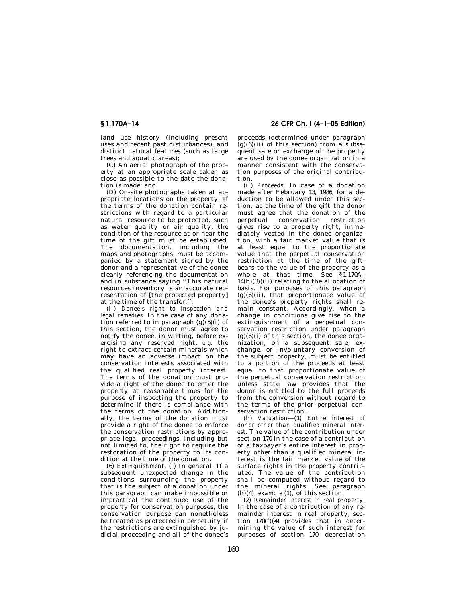land use history (including present uses and recent past disturbances), and distinct natural features (such as large trees and aquatic areas);

(C) An aerial photograph of the property at an appropriate scale taken as close as possible to the date the donation is made; and

(D) On-site photographs taken at appropriate locations on the property. If the terms of the donation contain restrictions with regard to a particular natural resource to be protected, such as water quality or air quality, the condition of the resource at or near the time of the gift must be established. The documentation, including the maps and photographs, must be accompanied by a statement signed by the donor and a representative of the donee clearly referencing the documentation and in substance saying ''This natural resources inventory is an accurate representation of [the protected property] at the time of the transfer."

(ii) *Donee's right to inspection and legal remedies.* In the case of any donation referred to in paragraph  $(g)(5)(i)$  of this section, the donor must agree to notify the donee, in writing, before exercising any reserved right, *e.g.* the right to extract certain minerals which may have an adverse impact on the conservation interests associated with the qualified real property interest. The terms of the donation must provide a right of the donee to enter the property at reasonable times for the purpose of inspecting the property to determine if there is compliance with the terms of the donation. Additionally, the terms of the donation must provide a right of the donee to enforce the conservation restrictions by appropriate legal proceedings, including but not limited to, the right to require the restoration of the property to its condition at the time of the donation.

(6) *Extinguishment.* (i) In general. If a subsequent unexpected change in the conditions surrounding the property that is the subject of a donation under this paragraph can make impossible or impractical the continued use of the property for conservation purposes, the conservation purpose can nonetheless be treated as protected in perpetuity if the restrictions are extinguished by judicial proceeding and all of the donee's

**§ 1.170A–14 26 CFR Ch. I (4–1–05 Edition)** 

proceeds (determined under paragraph  $(g)(6)(ii)$  of this section) from a subsequent sale or exchange of the property are used by the donee organization in a manner consistent with the conservation purposes of the original contribution.

(ii) *Proceeds.* In case of a donation made after February 13, 1986, for a deduction to be allowed under this section, at the time of the gift the donor must agree that the donation of the perpetual conservation restriction gives rise to a property right, immediately vested in the donee organization, with a fair market value that is at least equal to the proportionate value that the perpetual conservation restriction at the time of the gift, bears to the value of the property as a whole at that time. See §1.170A- $14(h)(3)(iii)$  relating to the allocation of basis. For purposes of this paragraph  $(g)(6)(ii)$ , that proportionate value of the donee's property rights shall remain constant. Accordingly, when a change in conditions give rise to the extinguishment of a perpetual conservation restriction under paragraph  $(g)(6)(i)$  of this section, the donee organization, on a subsequent sale, exchange, or involuntary conversion of the subject property, must be entitled to a portion of the proceeds at least equal to that proportionate value of the perpetual conservation restriction, unless state law provides that the donor is entitled to the full proceeds from the conversion without regard to the terms of the prior perpetual conservation restriction.

(h) *Valuation*—(1) *Entire interest of donor other than qualified mineral interest.* The value of the contribution under section 170 in the case of a contribution of a taxpayer's entire interest in property other than a qualified mineral interest is the fair market value of the surface rights in the property contributed. The value of the contribution shall be computed without regard to the mineral rights. See paragraph (h)(4), *example (1),* of this section.

(2) *Remainder interest in real property.*  In the case of a contribution of any remainder interest in real property, section 170(f)(4) provides that in determining the value of such interest for purposes of section 170, depreciation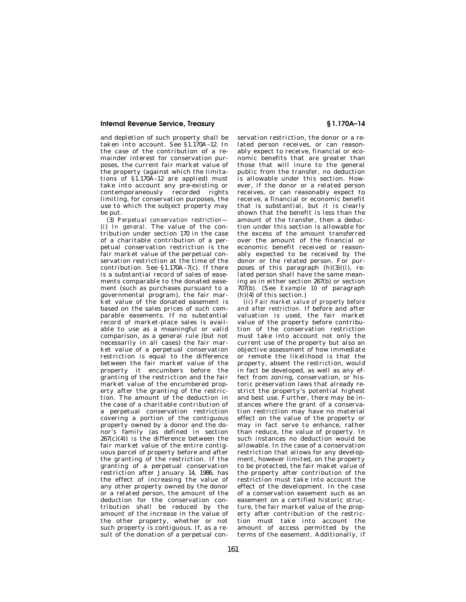and depletion of such property shall be taken into account. See §1.170A–12. In the case of the contribution of a remainder interest for conservation purposes, the current fair market value of the property (against which the limitations of §1.170A–12 are applied) must take into account any pre-existing or contemporaneously recorded rights limiting, for conservation purposes, the use to which the subject property may be put.

(3) *Perpetual conservation restriction—*  (i) *In general.* The value of the contribution under section 170 in the case of a charitable contribution of a perpetual conservation restriction is the fair market value of the perpetual conservation restriction at the time of the contribution. See §1.170A–7(c). If there is a substantial record of sales of easements comparable to the donated easement (such as purchases pursuant to a governmental program), the fair market value of the donated easement is based on the sales prices of such comparable easements. If no substantial record of market-place sales is available to use as a meaningful or valid comparison, as a general rule (but not necessarily in all cases) the fair market value of a perpetual conservation restriction is equal to the difference between the fair market value of the property it encumbers before the granting of the restriction and the fair market value of the encumbered property after the granting of the restriction. The amount of the deduction in the case of a charitable contribution of a perpetual conservation restriction covering a portion of the contiguous property owned by a donor and the donor's family (as defined in section  $267(c)(4)$ ) is the difference between the fair market value of the entire contiguous parcel of property before and after the granting of the restriction. If the granting of a perpetual conservation restriction after January 14, 1986, has the effect of increasing the value of any other property owned by the donor or a related person, the amount of the deduction for the conservation contribution shall be reduced by the amount of the increase in the value of the other property, whether or not such property is contiguous. If, as a result of the donation of a perpetual con-

servation restriction, the donor or a related person receives, or can reasonably expect to receive, financial or economic benefits that are greater than those that will inure to the general public from the transfer, no deduction is allowable under this section. However, if the donor or a related person receives, or can reasonably expect to receive, a financial or economic benefit that is substantial, but it is clearly shown that the benefit is less than the amount of the transfer, then a deduction under this section is allowable for the excess of the amount transferred over the amount of the financial or economic benefit received or reasonably expected to be received by the donor or the related person. For purposes of this paragraph  $(h)(3)((i), '$  related person shall have the same meaning as in either section 267(b) or section 707(b). (See *Example 10* of paragraph (h)(4) of this section.)

(ii) *Fair market value of property before and after restriction.* If before and after valuation is used, the fair market value of the property before contribution of the conservation restriction must take into account not only the current use of the property but also an objective assessment of how immediate or remote the likelihood is that the property, absent the restriction, would in fact be developed, as well as any effect from zoning, conservation, or historic preservation laws that already restrict the property's potential highest and best use. Further, there may be instances where the grant of a conservation restriction may have no material effect on the value of the property or may in fact serve to enhance, rather than reduce, the value of property. In such instances no deduction would be allowable. In the case of a conservation restriction that allows for any development, however limited, on the property to be protected, the fair maket value of the property after contribution of the restriction must take into account the effect of the development. In the case of a conservation easement such as an easement on a certified historic structure, the fair market value of the property after contribution of the restriction must take into account the amount of access permitted by the terms of the easement. Additionally, if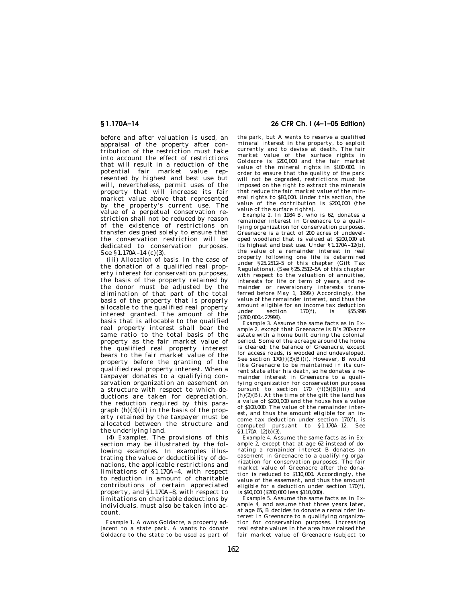before and after valuation is used, an appraisal of the property after contribution of the restriction must take into account the effect of restrictions that will result in a reduction of the potential fair market value represented by highest and best use but will, nevertheless, permit uses of the property that will increase its fair market value above that represented by the property's current use. The value of a perpetual conservation restriction shall not be reduced by reason of the existence of restrictions on transfer designed solely to ensure that the conservation restriction will be dedicated to conservation purposes. See §1.170A-14 (c)(3).

(iii) *Allocation of basis.* In the case of the donation of a qualified real property interest for conservation purposes, the basis of the property retained by the donor must be adjusted by the elimination of that part of the total basis of the property that is properly allocable to the qualified real property interest granted. The amount of the basis that is allocable to the qualified real property interest shall bear the same ratio to the total basis of the property as the fair market value of the qualified real property interest bears to the fair market value of the property before the granting of the qualified real property interest. When a taxpayer donates to a qualifying conservation organization an easement on a structure with respect to which deductions are taken for depreciation, the reduction required by this paragraph  $(h)(3)(ii)$  in the basis of the property retained by the taxpayer must be allocated between the structure and the underlying land.

(4) *Examples.* The provisions of this section may be illustrated by the following examples. In examples illustrating the value or deductibility of donations, the applicable restrictions and limitations of §1.170A–4, with respect to reduction in amount of charitable contributions of certain appreciated property, and §1.170A–8, with respect to limitations on charitable deductions by individuals. must also be taken into account.

*Example 1.* A owns Goldacre, a property adjacent to a state park. A wants to donate Goldacre to the state to be used as part of

# **§ 1.170A–14 26 CFR Ch. I (4–1–05 Edition)**

the park, but A wants to reserve a qualified mineral interest in the property, to exploit currently and to devise at death. The fair market value of the surface rights in Goldacre is \$200,000 and the fair market value of the mineral rights in \$100.000. In order to ensure that the quality of the park will not be degraded, restrictions must be imposed on the right to extract the minerals that reduce the fair market value of the mineral rights to \$80,000. Under this section, the value of the contribution is \$200,000 (the value of the surface rights).

*Example 2.* In 1984 B, who is 62, donates a remainder interest in Greenacre to a qualifying organization for conservation purposes. Greenacre is a tract of 200 acres of undeveloped woodland that is valued at \$200,000 at its highest and best use. Under §1.170A–12(b), the value of a remainder interest in real property following one life is determined under §25.2512–5 of this chapter (Gift Tax Regulations). (See §25.2512–5A of this chapter with respect to the valuation of annuities, interests for life or term of years, and remainder or reversionary interests transferred before May 1, 1999.) Accordingly, the value of the remainder interest, and thus the amount eligible for an income tax deduction<br>under section 170(f), is \$55,996 section  $170(f)$ , is  $($ \$200,000 $\times$ .27998).

*Example 3.* Assume the same facts as in *Example 2,* except that Greenacre is B's 200-acre estate with a home built during the colonial period. Some of the acreage around the home is cleared; the balance of Greenacre, except for access roads, is wooded and undeveloped. See section  $170(f)(3)(B)(i)$ . However, B would like Greenacre to be maintained in its current state after his death, so he donates a remainder interest in Greenacre to a qualifying organization for conservation purposes pursunt to section 170 (f)(3)(B)(iii) and (h)(2)(B). At the time of the gift the land has a value of \$200,000 and the house has a value of \$100,000. The value of the remainder interest, and thus the amount eligible for an income tax deduction under section 170(f), is computed pursuant to §1.170A–12. See  $$1.170A-12(b)(3)$ .

*Example 4.* Assume the same facts as in *Example 2,* except that at age 62 instead of donating a remainder interest B donates an easement in Greenacre to a qualifying organization for conservation purposes. The fair market value of Greenacre after the donation is reduced to \$110,000. Accordingly, the value of the easement, and thus the amount eligible for a deduction under section 170(f), is \$90,000 (\$200,000 less \$110,000).

*Example 5.* Assume the same facts as in *Example 4,* and assume that three years later, at age 65, B decides to donate a remainder interest in Greenacre to a qualifying organization for conservation purposes. Increasing real estate values in the area have raised the fair market value of Greenacre (subject to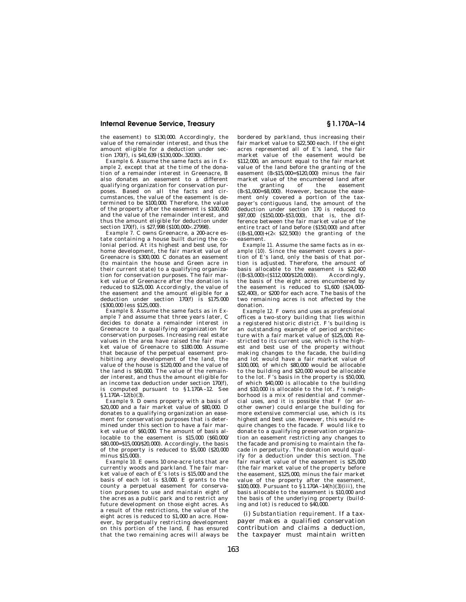the easement) to \$130,000. Accordingly, the value of the remainder interest, and thus the amount eligible for a deduction under section 170(f), is \$41,639 (\$130,000×.32030).

*Example 6.* Assume the same facts as in *Example 2,* except that at the time of the donation of a remainder interest in Greenacre, B also donates an easement to a different qualifying organization for conservation purposes. Based on all the facts and circumstances, the value of the easement is determined to be \$100,000. Therefore, the value of the property after the easement is \$100,000 and the value of the remainder interest, and thus the amount eligible for deduction under section  $170(f)$ , is  $$27,998$  ( $$100,000 \times 27998$ ).

*Example 7.* C owns Greenacre, a 200-acre estate containing a house built during the co-lonial period. At its highest and best use, for home development, the fair market value of Greenacre is \$300,000. C donates an easement (to maintain the house and Green acre in their current state) to a qualifying organization for conservation purposes. The fair market value of Greenacre after the donation is reduced to \$125,000. Accordingly, the value of the easement and the amount eligible for a deduction under section 170(f) is \$175.000 (\$300,000 less \$125,000).

*Example 8.* Assume the same facts as in *Example 7* and assume that three years later, C decides to donate a remainder interest in Greenacre to a qualifying organization for conservation purposes. Increasing real estate values in the area have raised the fair market value of Greenacre to \$180.000. Assume that because of the perpetual easement prohibiting any development of the land, the value of the house is \$120,000 and the value of the land is \$60,000. The value of the remainder interest, and thus the amount eligible for an income tax deduction under section 170(f), is computed pursuant to §1.170A–12. See  $§ 1.170A-12(b)(3).$ 

*Example 9.* D owns property with a basis of \$20,000 and a fair market value of \$80,000. D donates to a qualifying organization an easement for conservation purposes that is determined under this section to have a fair market value of \$60,000. The amount of basis allocable to the easement is \$15,000 (\$60,000/ \$80,000=\$15,000/\$20,000). Accordingly, the basis of the property is reduced to \$5,000 (\$20,000 minus  $\sin 5,000$ .

*Example 10.* E owns 10 one-acre lots that are currently woods and parkland. The fair market value of each of  $\vec{E}$ 's lots is \$15,000 and the basis of each lot is \$3,000. E grants to the county a perpetual easement for conservation purposes to use and maintain eight of the acres as a public park and to restrict any future development on those eight acres. As a result of the restrictions, the value of the eight acres is reduced to \$1,000 an acre. However, by perpetually restricting development on this portion of the land, E has ensured that the two remaining acres will always be bordered by parkland, thus increasing their fair market value to \$22,500 each. If the eight acres represented all of E's land, the fair market value of the easement would be \$112,000, an amount equal to the fair market value of the land before the granting of the easement (8×\$15,000=\$120,000) minus the fair market value of the encumbered land after the granting of the easement (8×\$1,000=\$8,000). However, because the easement only covered a portion of the tax-payer's contiguous land, the amount of the deduction under section 170 is reduced to \$97,000 (\$150,000–\$53,000), that is, the difference between the fair market value of the entire tract of land before (\$150,000) and after  $((8\times\$1,000)+(2\times\$22,500))$  the granting of the easement.

*Example 11.* Assume the same facts as in *example (10).* Since the easement covers a portion of E's land, only the basis of that portion is adjusted. Therefore, the amount of basis allocable to the easement is  $$22,400$   $((8\times$3.000)\times$112.000/$120.000))$ . Accordingly.  $((8\times$3,000)\times$112,000/$120,000))$ . the basis of the eight acres encumbered by the easement is reduced to \$1,600 (\$24,000– \$22,400), or \$200 for each acre. The basis of the two remaining acres is not affected by the donation.

*Example 12.* F owns and uses as professional offices a two-story building that lies within a registered historic district. F's building is an outstanding example of period architecture with a fair market value of \$125,000. Restricted to its current use, which is the highest and best use of the property without making changes to the facade, the building and lot would have a fair market value of \$100,000, of which \$80,000 would be allocable to the building and \$20,000 woud be allocable to the lot. F's basis in the property is \$50,000, of which \$40,000 is allocable to the building and \$10,000 is allocable to the lot. F's neighborhood is a mix of residential and commercial uses, and it is possible that F (or another owner) could enlarge the building for more extensive commercial use, which is its highest and best use. However, this would require changes to the facade. F would like to donate to a qualifying preservation organization an easement restricting any changes to the facade and promising to maintain the facade in perpetuity. The donation would qualify for a deduction under this section. The fair market value of the easement is \$25,000 (the fair market value of the property before the easement, \$125,000, minus the fair market value of the property after the easement, \$100,000). Pursuant to §1.170A–14(h)(3)(iii), the basis allocable to the easement is \$10,000 and the basis of the underlying property (building and lot) is reduced to \$40,000.

(i) *Substantiation requirement.* If a taxpayer makes a qualified conservation contribution and claims a deduction, the taxpayer must maintain written